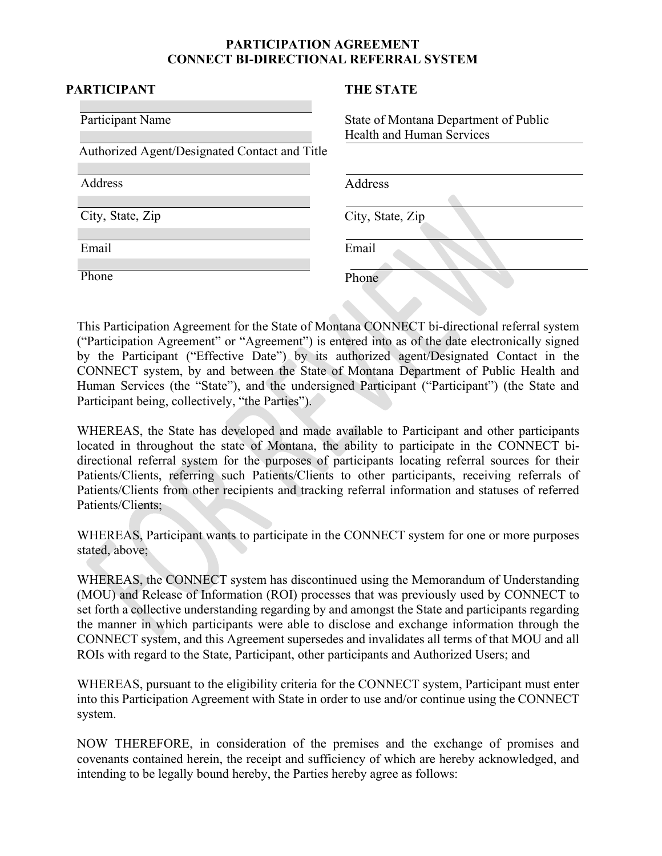## **PARTICIPATION AGREEMENT CONNECT BI-DIRECTIONAL REFERRAL SYSTEM**

#### **PARTICIPANT THE STATE**

| Participant Name<br>Authorized Agent/Designated Contact and Title | State of Montana Department of Public<br>Health and Human Services |
|-------------------------------------------------------------------|--------------------------------------------------------------------|
| <b>Address</b>                                                    | Address                                                            |
| City, State, Zip                                                  | City, State, Zip                                                   |
| Email                                                             | Email                                                              |
| $\overline{Ph}$ one                                               | Phone                                                              |

This Participation Agreement for the State of Montana CONNECT bi-directional referral system ("Participation Agreement" or "Agreement") is entered into as of the date electronically signed by the Participant ("Effective Date") by its authorized agent/Designated Contact in the CONNECT system, by and between the State of Montana Department of Public Health and Human Services (the "State"), and the undersigned Participant ("Participant") (the State and Participant being, collectively, "the Parties").

WHEREAS, the State has developed and made available to Participant and other participants located in throughout the state of Montana, the ability to participate in the CONNECT bidirectional referral system for the purposes of participants locating referral sources for their Patients/Clients, referring such Patients/Clients to other participants, receiving referrals of Patients/Clients from other recipients and tracking referral information and statuses of referred Patients/Clients;

WHEREAS, Participant wants to participate in the CONNECT system for one or more purposes stated, above;

WHEREAS, the CONNECT system has discontinued using the Memorandum of Understanding (MOU) and Release of Information (ROI) processes that was previously used by CONNECT to set forth a collective understanding regarding by and amongst the State and participants regarding the manner in which participants were able to disclose and exchange information through the CONNECT system, and this Agreement supersedes and invalidates all terms of that MOU and all ROIs with regard to the State, Participant, other participants and Authorized Users; and

WHEREAS, pursuant to the eligibility criteria for the CONNECT system, Participant must enter into this Participation Agreement with State in order to use and/or continue using the CONNECT system.

NOW THEREFORE, in consideration of the premises and the exchange of promises and covenants contained herein, the receipt and sufficiency of which are hereby acknowledged, and intending to be legally bound hereby, the Parties hereby agree as follows: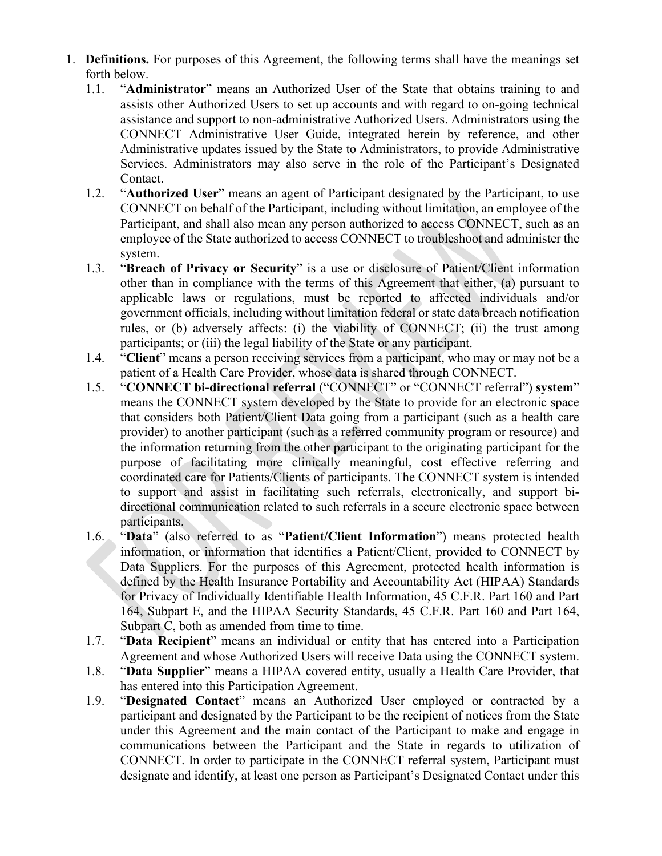- 1. **Definitions.** For purposes of this Agreement, the following terms shall have the meanings set forth below.
	- 1.1. "**Administrator**" means an Authorized User of the State that obtains training to and assists other Authorized Users to set up accounts and with regard to on-going technical assistance and support to non-administrative Authorized Users. Administrators using the CONNECT Administrative User Guide, integrated herein by reference, and other Administrative updates issued by the State to Administrators, to provide Administrative Services. Administrators may also serve in the role of the Participant's Designated Contact.
	- 1.2. "**Authorized User**" means an agent of Participant designated by the Participant, to use CONNECT on behalf of the Participant, including without limitation, an employee of the Participant, and shall also mean any person authorized to access CONNECT, such as an employee of the State authorized to access CONNECT to troubleshoot and administer the system.
	- 1.3. "**Breach of Privacy or Security**" is a use or disclosure of Patient/Client information other than in compliance with the terms of this Agreement that either, (a) pursuant to applicable laws or regulations, must be reported to affected individuals and/or government officials, including without limitation federal or state data breach notification rules, or (b) adversely affects: (i) the viability of CONNECT; (ii) the trust among participants; or (iii) the legal liability of the State or any participant.
	- 1.4. "**Client**" means a person receiving services from a participant, who may or may not be a patient of a Health Care Provider, whose data is shared through CONNECT.
	- 1.5. "**CONNECT bi-directional referral** ("CONNECT" or "CONNECT referral") **system**" means the CONNECT system developed by the State to provide for an electronic space that considers both Patient/Client Data going from a participant (such as a health care provider) to another participant (such as a referred community program or resource) and the information returning from the other participant to the originating participant for the purpose of facilitating more clinically meaningful, cost effective referring and coordinated care for Patients/Clients of participants. The CONNECT system is intended to support and assist in facilitating such referrals, electronically, and support bidirectional communication related to such referrals in a secure electronic space between participants.
	- 1.6. "**Data**" (also referred to as "**Patient/Client Information**") means protected health information, or information that identifies a Patient/Client, provided to CONNECT by Data Suppliers. For the purposes of this Agreement, protected health information is defined by the Health Insurance Portability and Accountability Act (HIPAA) Standards for Privacy of Individually Identifiable Health Information, 45 C.F.R. Part 160 and Part 164, Subpart E, and the HIPAA Security Standards, 45 C.F.R. Part 160 and Part 164, Subpart C, both as amended from time to time.
	- 1.7. "**Data Recipient**" means an individual or entity that has entered into a Participation Agreement and whose Authorized Users will receive Data using the CONNECT system.
	- 1.8. "**Data Supplier**" means a HIPAA covered entity, usually a Health Care Provider, that has entered into this Participation Agreement.
	- 1.9. "**Designated Contact**" means an Authorized User employed or contracted by a participant and designated by the Participant to be the recipient of notices from the State under this Agreement and the main contact of the Participant to make and engage in communications between the Participant and the State in regards to utilization of CONNECT. In order to participate in the CONNECT referral system, Participant must designate and identify, at least one person as Participant's Designated Contact under this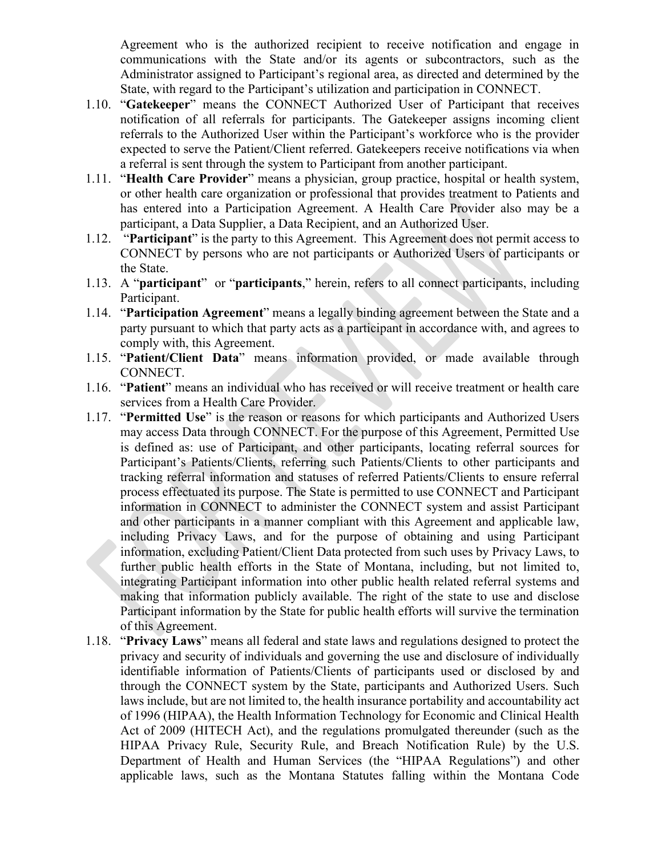Agreement who is the authorized recipient to receive notification and engage in communications with the State and/or its agents or subcontractors, such as the Administrator assigned to Participant's regional area, as directed and determined by the State, with regard to the Participant's utilization and participation in CONNECT.

- 1.10. "**Gatekeeper**" means the CONNECT Authorized User of Participant that receives notification of all referrals for participants. The Gatekeeper assigns incoming client referrals to the Authorized User within the Participant's workforce who is the provider expected to serve the Patient/Client referred. Gatekeepers receive notifications via when a referral is sent through the system to Participant from another participant.
- 1.11. "**Health Care Provider**" means a physician, group practice, hospital or health system, or other health care organization or professional that provides treatment to Patients and has entered into a Participation Agreement. A Health Care Provider also may be a participant, a Data Supplier, a Data Recipient, and an Authorized User.
- 1.12. "**Participant**" is the party to this Agreement. This Agreement does not permit access to CONNECT by persons who are not participants or Authorized Users of participants or the State.
- 1.13. A "**participant**" or "**participants**," herein, refers to all connect participants, including Participant.
- 1.14. "**Participation Agreement**" means a legally binding agreement between the State and a party pursuant to which that party acts as a participant in accordance with, and agrees to comply with, this Agreement.
- 1.15. "**Patient/Client Data**" means information provided, or made available through CONNECT.
- 1.16. "**Patient**" means an individual who has received or will receive treatment or health care services from a Health Care Provider.
- 1.17. "**Permitted Use**" is the reason or reasons for which participants and Authorized Users may access Data through CONNECT. For the purpose of this Agreement, Permitted Use is defined as: use of Participant, and other participants, locating referral sources for Participant's Patients/Clients, referring such Patients/Clients to other participants and tracking referral information and statuses of referred Patients/Clients to ensure referral process effectuated its purpose. The State is permitted to use CONNECT and Participant information in CONNECT to administer the CONNECT system and assist Participant and other participants in a manner compliant with this Agreement and applicable law, including Privacy Laws, and for the purpose of obtaining and using Participant information, excluding Patient/Client Data protected from such uses by Privacy Laws, to further public health efforts in the State of Montana, including, but not limited to, integrating Participant information into other public health related referral systems and making that information publicly available. The right of the state to use and disclose Participant information by the State for public health efforts will survive the termination of this Agreement.
- 1.18. "**Privacy Laws**" means all federal and state laws and regulations designed to protect the privacy and security of individuals and governing the use and disclosure of individually identifiable information of Patients/Clients of participants used or disclosed by and through the CONNECT system by the State, participants and Authorized Users. Such laws include, but are not limited to, the health insurance portability and accountability act of 1996 (HIPAA), the Health Information Technology for Economic and Clinical Health Act of 2009 (HITECH Act), and the regulations promulgated thereunder (such as the HIPAA Privacy Rule, Security Rule, and Breach Notification Rule) by the U.S. Department of Health and Human Services (the "HIPAA Regulations") and other applicable laws, such as the Montana Statutes falling within the Montana Code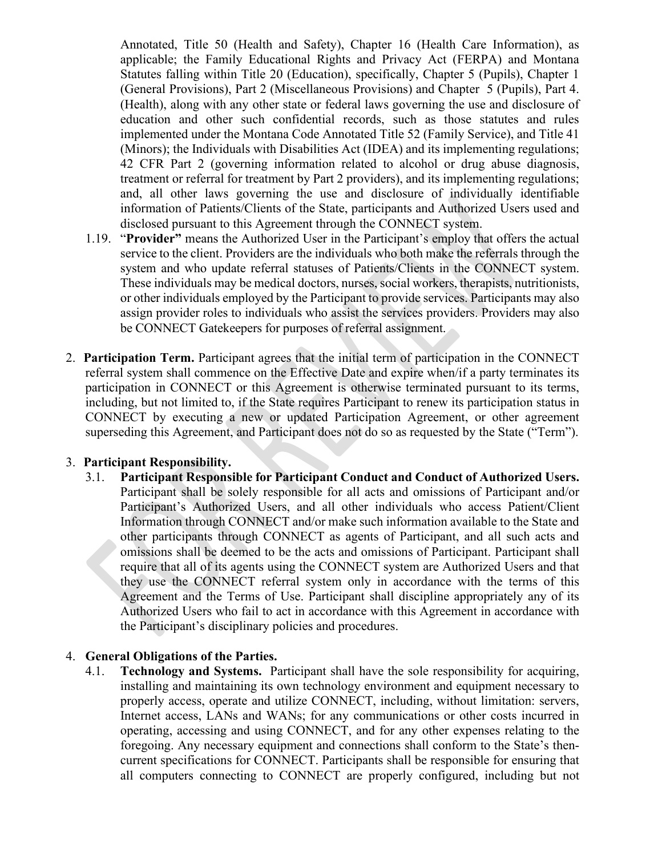Annotated, Title 50 (Health and Safety), Chapter 16 (Health Care Information), as applicable; the Family Educational Rights and Privacy Act (FERPA) and Montana Statutes falling within Title 20 (Education), specifically, Chapter 5 (Pupils), Chapter 1 (General Provisions), Part 2 (Miscellaneous Provisions) and Chapter 5 (Pupils), Part 4. (Health), along with any other state or federal laws governing the use and disclosure of education and other such confidential records, such as those statutes and rules implemented under the Montana Code Annotated Title 52 (Family Service), and Title 41 (Minors); the Individuals with Disabilities Act (IDEA) and its implementing regulations; 42 CFR Part 2 (governing information related to alcohol or drug abuse diagnosis, treatment or referral for treatment by Part 2 providers), and its implementing regulations; and, all other laws governing the use and disclosure of individually identifiable information of Patients/Clients of the State, participants and Authorized Users used and disclosed pursuant to this Agreement through the CONNECT system.

- 1.19. "**Provider"** means the Authorized User in the Participant's employ that offers the actual service to the client. Providers are the individuals who both make the referrals through the system and who update referral statuses of Patients/Clients in the CONNECT system. These individuals may be medical doctors, nurses, social workers, therapists, nutritionists, or other individuals employed by the Participant to provide services. Participants may also assign provider roles to individuals who assist the services providers. Providers may also be CONNECT Gatekeepers for purposes of referral assignment.
- 2. **Participation Term.** Participant agrees that the initial term of participation in the CONNECT referral system shall commence on the Effective Date and expire when/if a party terminates its participation in CONNECT or this Agreement is otherwise terminated pursuant to its terms, including, but not limited to, if the State requires Participant to renew its participation status in CONNECT by executing a new or updated Participation Agreement, or other agreement superseding this Agreement, and Participant does not do so as requested by the State ("Term").

## 3. **Participant Responsibility.**

3.1. **Participant Responsible for Participant Conduct and Conduct of Authorized Users.** Participant shall be solely responsible for all acts and omissions of Participant and/or Participant's Authorized Users, and all other individuals who access Patient/Client Information through CONNECT and/or make such information available to the State and other participants through CONNECT as agents of Participant, and all such acts and omissions shall be deemed to be the acts and omissions of Participant. Participant shall require that all of its agents using the CONNECT system are Authorized Users and that they use the CONNECT referral system only in accordance with the terms of this Agreement and the Terms of Use. Participant shall discipline appropriately any of its Authorized Users who fail to act in accordance with this Agreement in accordance with the Participant's disciplinary policies and procedures.

### 4. **General Obligations of the Parties.**

4.1. **Technology and Systems.** Participant shall have the sole responsibility for acquiring, installing and maintaining its own technology environment and equipment necessary to properly access, operate and utilize CONNECT, including, without limitation: servers, Internet access, LANs and WANs; for any communications or other costs incurred in operating, accessing and using CONNECT, and for any other expenses relating to the foregoing. Any necessary equipment and connections shall conform to the State's thencurrent specifications for CONNECT. Participants shall be responsible for ensuring that all computers connecting to CONNECT are properly configured, including but not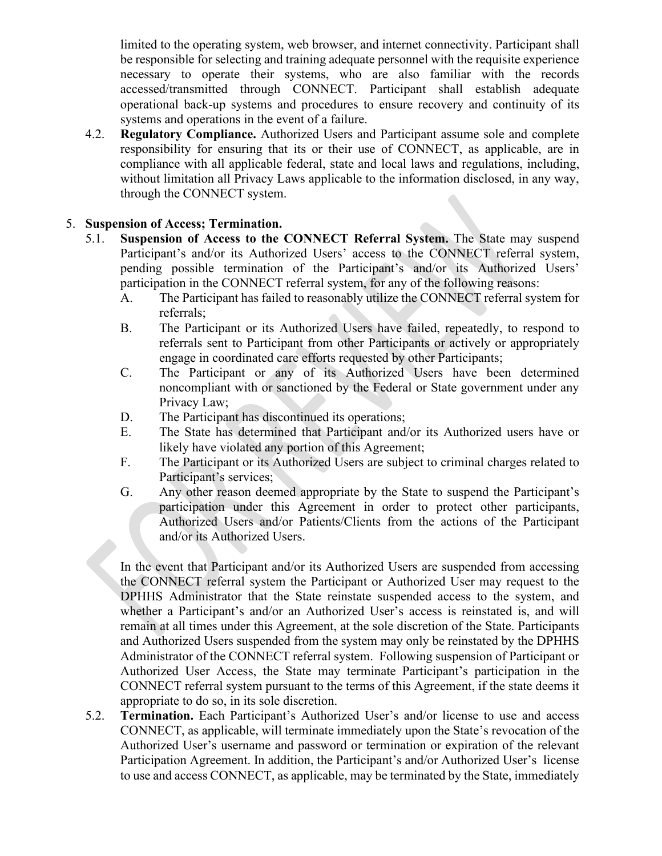limited to the operating system, web browser, and internet connectivity. Participant shall be responsible for selecting and training adequate personnel with the requisite experience necessary to operate their systems, who are also familiar with the records accessed/transmitted through CONNECT. Participant shall establish adequate operational back-up systems and procedures to ensure recovery and continuity of its systems and operations in the event of a failure.

4.2. **Regulatory Compliance.** Authorized Users and Participant assume sole and complete responsibility for ensuring that its or their use of CONNECT, as applicable, are in compliance with all applicable federal, state and local laws and regulations, including, without limitation all Privacy Laws applicable to the information disclosed, in any way, through the CONNECT system.

## 5. **Suspension of Access; Termination.**

- 5.1. **Suspension of Access to the CONNECT Referral System.** The State may suspend Participant's and/or its Authorized Users' access to the CONNECT referral system, pending possible termination of the Participant's and/or its Authorized Users' participation in the CONNECT referral system, for any of the following reasons:
	- A. The Participant has failed to reasonably utilize the CONNECT referral system for referrals;
	- B. The Participant or its Authorized Users have failed, repeatedly, to respond to referrals sent to Participant from other Participants or actively or appropriately engage in coordinated care efforts requested by other Participants;
	- C. The Participant or any of its Authorized Users have been determined noncompliant with or sanctioned by the Federal or State government under any Privacy Law;
	- D. The Participant has discontinued its operations;
	- E. The State has determined that Participant and/or its Authorized users have or likely have violated any portion of this Agreement;
	- F. The Participant or its Authorized Users are subject to criminal charges related to Participant's services;
	- G. Any other reason deemed appropriate by the State to suspend the Participant's participation under this Agreement in order to protect other participants, Authorized Users and/or Patients/Clients from the actions of the Participant and/or its Authorized Users.

In the event that Participant and/or its Authorized Users are suspended from accessing the CONNECT referral system the Participant or Authorized User may request to the DPHHS Administrator that the State reinstate suspended access to the system, and whether a Participant's and/or an Authorized User's access is reinstated is, and will remain at all times under this Agreement, at the sole discretion of the State. Participants and Authorized Users suspended from the system may only be reinstated by the DPHHS Administrator of the CONNECT referral system. Following suspension of Participant or Authorized User Access, the State may terminate Participant's participation in the CONNECT referral system pursuant to the terms of this Agreement, if the state deems it appropriate to do so, in its sole discretion.

5.2. **Termination.** Each Participant's Authorized User's and/or license to use and access CONNECT, as applicable, will terminate immediately upon the State's revocation of the Authorized User's username and password or termination or expiration of the relevant Participation Agreement. In addition, the Participant's and/or Authorized User's license to use and access CONNECT, as applicable, may be terminated by the State, immediately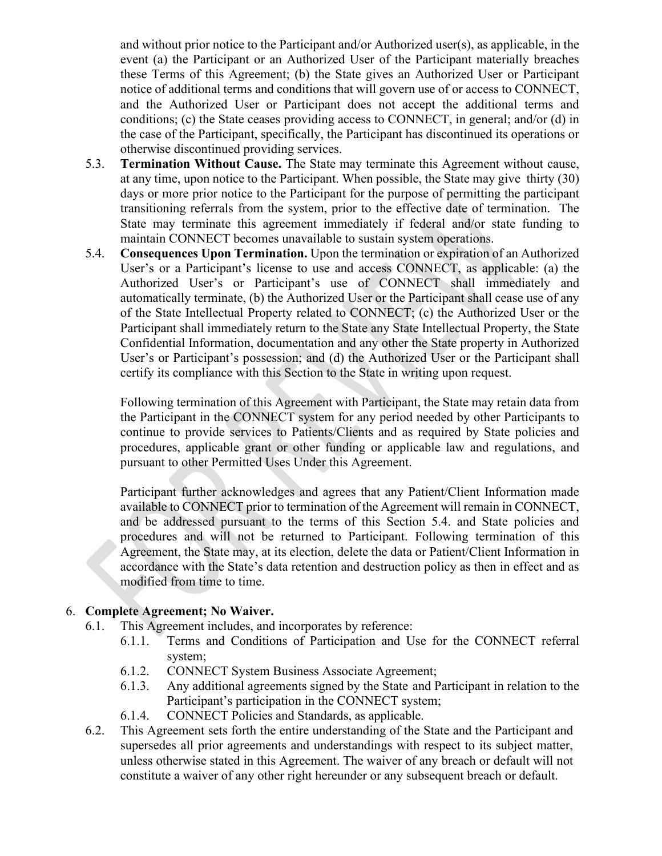and without prior notice to the Participant and/or Authorized user(s), as applicable, in the event (a) the Participant or an Authorized User of the Participant materially breaches these Terms of this Agreement; (b) the State gives an Authorized User or Participant notice of additional terms and conditions that will govern use of or access to CONNECT, and the Authorized User or Participant does not accept the additional terms and conditions; (c) the State ceases providing access to CONNECT, in general; and/or (d) in the case of the Participant, specifically, the Participant has discontinued its operations or otherwise discontinued providing services.

- 5.3. **Termination Without Cause.** The State may terminate this Agreement without cause, at any time, upon notice to the Participant. When possible, the State may give thirty (30) days or more prior notice to the Participant for the purpose of permitting the participant transitioning referrals from the system, prior to the effective date of termination. The State may terminate this agreement immediately if federal and/or state funding to maintain CONNECT becomes unavailable to sustain system operations.
- 5.4. **Consequences Upon Termination.** Upon the termination or expiration of an Authorized User's or a Participant's license to use and access CONNECT, as applicable: (a) the Authorized User's or Participant's use of CONNECT shall immediately and automatically terminate, (b) the Authorized User or the Participant shall cease use of any of the State Intellectual Property related to CONNECT; (c) the Authorized User or the Participant shall immediately return to the State any State Intellectual Property, the State Confidential Information, documentation and any other the State property in Authorized User's or Participant's possession; and (d) the Authorized User or the Participant shall certify its compliance with this Section to the State in writing upon request.

Following termination of this Agreement with Participant, the State may retain data from the Participant in the CONNECT system for any period needed by other Participants to continue to provide services to Patients/Clients and as required by State policies and procedures, applicable grant or other funding or applicable law and regulations, and pursuant to other Permitted Uses Under this Agreement.

Participant further acknowledges and agrees that any Patient/Client Information made available to CONNECT prior to termination of the Agreement will remain in CONNECT, and be addressed pursuant to the terms of this Section 5.4. and State policies and procedures and will not be returned to Participant. Following termination of this Agreement, the State may, at its election, delete the data or Patient/Client Information in accordance with the State's data retention and destruction policy as then in effect and as modified from time to time.

## 6. **Complete Agreement; No Waiver.**

- 6.1. This Agreement includes, and incorporates by reference:
	- 6.1.1. Terms and Conditions of Participation and Use for the CONNECT referral system;
	- 6.1.2. CONNECT System Business Associate Agreement;
	- 6.1.3. Any additional agreements signed by the State and Participant in relation to the Participant's participation in the CONNECT system;
	- 6.1.4. CONNECT Policies and Standards, as applicable.
- 6.2. This Agreement sets forth the entire understanding of the State and the Participant and supersedes all prior agreements and understandings with respect to its subject matter, unless otherwise stated in this Agreement. The waiver of any breach or default will not constitute a waiver of any other right hereunder or any subsequent breach or default.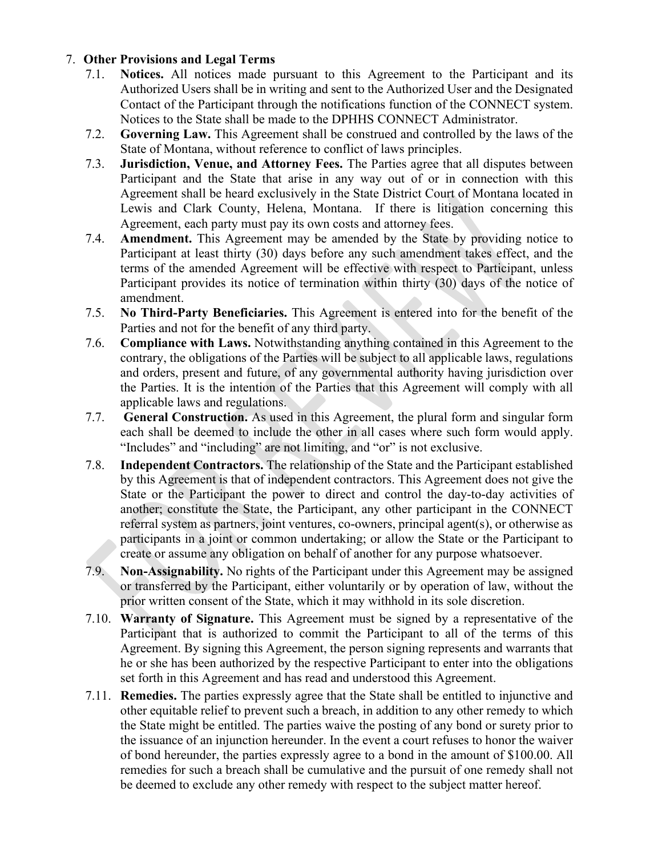# 7. **Other Provisions and Legal Terms**

- 7.1. **Notices.** All notices made pursuant to this Agreement to the Participant and its Authorized Users shall be in writing and sent to the Authorized User and the Designated Contact of the Participant through the notifications function of the CONNECT system. Notices to the State shall be made to the DPHHS CONNECT Administrator.
- 7.2. **Governing Law.** This Agreement shall be construed and controlled by the laws of the State of Montana, without reference to conflict of laws principles.
- 7.3. **Jurisdiction, Venue, and Attorney Fees.** The Parties agree that all disputes between Participant and the State that arise in any way out of or in connection with this Agreement shall be heard exclusively in the State District Court of Montana located in Lewis and Clark County, Helena, Montana. If there is litigation concerning this Agreement, each party must pay its own costs and attorney fees.
- 7.4. **Amendment.** This Agreement may be amended by the State by providing notice to Participant at least thirty (30) days before any such amendment takes effect, and the terms of the amended Agreement will be effective with respect to Participant, unless Participant provides its notice of termination within thirty (30) days of the notice of amendment.
- 7.5. **No Third-Party Beneficiaries.** This Agreement is entered into for the benefit of the Parties and not for the benefit of any third party.
- 7.6. **Compliance with Laws.** Notwithstanding anything contained in this Agreement to the contrary, the obligations of the Parties will be subject to all applicable laws, regulations and orders, present and future, of any governmental authority having jurisdiction over the Parties. It is the intention of the Parties that this Agreement will comply with all applicable laws and regulations.
- 7.7. **General Construction.** As used in this Agreement, the plural form and singular form each shall be deemed to include the other in all cases where such form would apply. "Includes" and "including" are not limiting, and "or" is not exclusive.
- 7.8. **Independent Contractors.** The relationship of the State and the Participant established by this Agreement is that of independent contractors. This Agreement does not give the State or the Participant the power to direct and control the day-to-day activities of another; constitute the State, the Participant, any other participant in the CONNECT referral system as partners, joint ventures, co-owners, principal agent(s), or otherwise as participants in a joint or common undertaking; or allow the State or the Participant to create or assume any obligation on behalf of another for any purpose whatsoever.
- 7.9. **Non-Assignability.** No rights of the Participant under this Agreement may be assigned or transferred by the Participant, either voluntarily or by operation of law, without the prior written consent of the State, which it may withhold in its sole discretion.
- 7.10. **Warranty of Signature.** This Agreement must be signed by a representative of the Participant that is authorized to commit the Participant to all of the terms of this Agreement. By signing this Agreement, the person signing represents and warrants that he or she has been authorized by the respective Participant to enter into the obligations set forth in this Agreement and has read and understood this Agreement.
- 7.11. **Remedies.** The parties expressly agree that the State shall be entitled to injunctive and other equitable relief to prevent such a breach, in addition to any other remedy to which the State might be entitled. The parties waive the posting of any bond or surety prior to the issuance of an injunction hereunder. In the event a court refuses to honor the waiver of bond hereunder, the parties expressly agree to a bond in the amount of \$100.00. All remedies for such a breach shall be cumulative and the pursuit of one remedy shall not be deemed to exclude any other remedy with respect to the subject matter hereof.